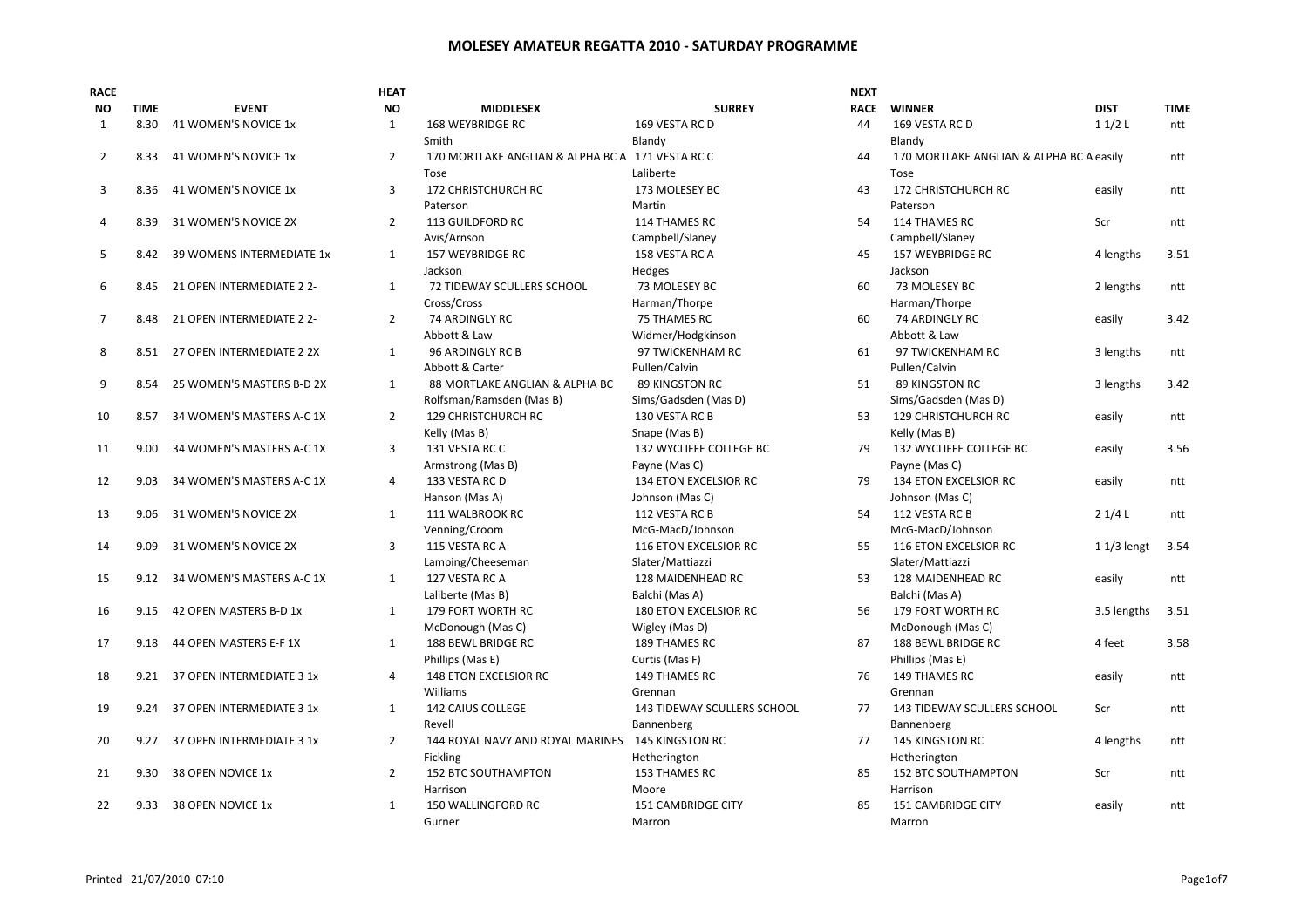| <b>RACE</b>    |             |                                | HEAT           |                                                  |                                    | <b>NEXT</b> |                                          |              |             |
|----------------|-------------|--------------------------------|----------------|--------------------------------------------------|------------------------------------|-------------|------------------------------------------|--------------|-------------|
| <b>NO</b>      | <b>TIME</b> | <b>EVENT</b>                   | <b>NO</b>      | <b>MIDDLESEX</b>                                 | <b>SURREY</b>                      | <b>RACE</b> | <b>WINNER</b>                            | <b>DIST</b>  | <b>TIME</b> |
| $\mathbf{1}$   | 8.30        | 41 WOMEN'S NOVICE 1x           | $\mathbf{1}$   | 168 WEYBRIDGE RC                                 | 169 VESTA RC D                     | 44          | 169 VESTA RC D                           | 11/2L        | ntt         |
|                |             |                                |                | Smith                                            | Blandy                             |             | Blandy                                   |              |             |
| $\overline{2}$ | 8.33        | 41 WOMEN'S NOVICE 1x           | $\overline{2}$ | 170 MORTLAKE ANGLIAN & ALPHA BC A 171 VESTA RC C |                                    | 44          | 170 MORTLAKE ANGLIAN & ALPHA BC A easily |              | ntt         |
|                |             |                                |                | Tose                                             | Laliberte                          |             | Tose                                     |              |             |
| 3              | 8.36        | 41 WOMEN'S NOVICE 1x           | 3              | 172 CHRISTCHURCH RC                              | 173 MOLESEY BC                     | 43          | 172 CHRISTCHURCH RC                      | easily       | ntt         |
|                |             |                                |                | Paterson                                         | Martin                             |             | Paterson                                 |              |             |
| 4              | 8.39        | 31 WOMEN'S NOVICE 2X           | $\overline{2}$ | 113 GUILDFORD RC                                 | 114 THAMES RC                      | 54          | 114 THAMES RC                            | Scr          | ntt         |
|                |             |                                |                | Avis/Arnson                                      | Campbell/Slaney                    |             | Campbell/Slaney                          |              |             |
| 5              | 8.42        | 39 WOMENS INTERMEDIATE 1x      | $\mathbf{1}$   | <b>157 WEYBRIDGE RC</b>                          | 158 VESTA RC A                     | 45          | <b>157 WEYBRIDGE RC</b>                  | 4 lengths    | 3.51        |
|                |             |                                |                | Jackson                                          | Hedges                             |             | Jackson                                  |              |             |
| 6              | 8.45        | 21 OPEN INTERMEDIATE 2 2-      | $\mathbf{1}$   | 72 TIDEWAY SCULLERS SCHOOL                       | 73 MOLESEY BC                      | 60          | 73 MOLESEY BC                            | 2 lengths    | ntt         |
|                |             |                                |                | Cross/Cross                                      | Harman/Thorpe                      |             | Harman/Thorpe                            |              |             |
| $\overline{7}$ | 8.48        | 21 OPEN INTERMEDIATE 2 2-      | $\overline{2}$ | 74 ARDINGLY RC                                   | <b>75 THAMES RC</b>                | 60          | 74 ARDINGLY RC                           | easily       | 3.42        |
|                |             |                                |                | Abbott & Law                                     | Widmer/Hodgkinson                  |             | Abbott & Law                             |              |             |
| 8              |             | 8.51 27 OPEN INTERMEDIATE 2 2X | $\mathbf{1}$   | 96 ARDINGLY RC B                                 | 97 TWICKENHAM RC                   | 61          | 97 TWICKENHAM RC                         | 3 lengths    | ntt         |
|                |             |                                |                | Abbott & Carter                                  | Pullen/Calvin                      |             | Pullen/Calvin                            |              |             |
| 9              | 8.54        | 25 WOMEN'S MASTERS B-D 2X      | $\mathbf{1}$   | 88 MORTLAKE ANGLIAN & ALPHA BC                   | <b>89 KINGSTON RC</b>              | 51          | <b>89 KINGSTON RC</b>                    | 3 lengths    | 3.42        |
|                |             |                                |                | Rolfsman/Ramsden (Mas B)                         | Sims/Gadsden (Mas D)               |             | Sims/Gadsden (Mas D)                     |              |             |
| 10             | 8.57        | 34 WOMEN'S MASTERS A-C 1X      | $\overline{2}$ | 129 CHRISTCHURCH RC                              | 130 VESTA RC B                     | 53          | 129 CHRISTCHURCH RC                      | easily       | ntt         |
|                |             |                                |                | Kelly (Mas B)                                    | Snape (Mas B)                      |             | Kelly (Mas B)                            |              |             |
| 11             | 9.00        | 34 WOMEN'S MASTERS A-C 1X      | 3              | 131 VESTA RC C                                   | 132 WYCLIFFE COLLEGE BC            | 79          | 132 WYCLIFFE COLLEGE BC                  | easily       | 3.56        |
|                |             |                                |                | Armstrong (Mas B)                                | Payne (Mas C)                      |             | Payne (Mas C)                            |              |             |
| 12             | 9.03        | 34 WOMEN'S MASTERS A-C 1X      | $\overline{4}$ | 133 VESTA RC D                                   | 134 ETON EXCELSIOR RC              | 79          | 134 ETON EXCELSIOR RC                    | easily       | ntt         |
|                |             |                                |                | Hanson (Mas A)                                   | Johnson (Mas C)                    |             | Johnson (Mas C)                          |              |             |
| 13             | 9.06        | 31 WOMEN'S NOVICE 2X           | 1              | 111 WALBROOK RC                                  | 112 VESTA RC B                     | 54          | 112 VESTA RC B                           | 21/4L        | ntt         |
|                |             |                                |                | Venning/Croom                                    | McG-MacD/Johnson                   |             | McG-MacD/Johnson                         |              |             |
| 14             | 9.09        | 31 WOMEN'S NOVICE 2X           | 3              | 115 VESTA RC A                                   | 116 ETON EXCELSIOR RC              | 55          | 116 ETON EXCELSIOR RC                    | $11/3$ lengt | 3.54        |
|                |             |                                |                | Lamping/Cheeseman                                | Slater/Mattiazzi                   |             | Slater/Mattiazzi                         |              |             |
| 15             | 9.12        | 34 WOMEN'S MASTERS A-C 1X      | $\mathbf{1}$   | 127 VESTA RC A                                   | 128 MAIDENHEAD RC                  | 53          | 128 MAIDENHEAD RC                        | easily       | ntt         |
|                |             |                                |                | Laliberte (Mas B)                                | Balchi (Mas A)                     |             | Balchi (Mas A)                           |              |             |
| 16             | 9.15        | 42 OPEN MASTERS B-D 1x         | $\mathbf{1}$   | 179 FORT WORTH RC                                | 180 ETON EXCELSIOR RC              | 56          | 179 FORT WORTH RC                        | 3.5 lengths  | 3.51        |
|                |             |                                |                | McDonough (Mas C)                                | Wigley (Mas D)                     |             | McDonough (Mas C)                        |              |             |
| 17             | 9.18        | 44 OPEN MASTERS E-F 1X         | $\mathbf{1}$   | 188 BEWL BRIDGE RC                               | <b>189 THAMES RC</b>               | 87          | 188 BEWL BRIDGE RC                       | 4 feet       | 3.58        |
|                |             |                                |                | Phillips (Mas E)                                 | Curtis (Mas F)                     |             | Phillips (Mas E)                         |              |             |
| 18             | 9.21        | 37 OPEN INTERMEDIATE 3 1x      | 4              | 148 ETON EXCELSIOR RC                            | 149 THAMES RC                      | 76          | 149 THAMES RC                            | easily       | ntt         |
|                |             |                                |                | Williams                                         | Grennan                            |             | Grennan                                  |              |             |
| 19             | 9.24        | 37 OPEN INTERMEDIATE 3 1x      | $\mathbf{1}$   | <b>142 CAIUS COLLEGE</b>                         | <b>143 TIDEWAY SCULLERS SCHOOL</b> | 77          | <b>143 TIDEWAY SCULLERS SCHOOL</b>       | Scr          | ntt         |
|                |             |                                |                | Revell                                           | Bannenberg                         |             | Bannenberg                               |              |             |
| 20             | 9.27        | 37 OPEN INTERMEDIATE 3 1x      | $\overline{2}$ | 144 ROYAL NAVY AND ROYAL MARINES                 | <b>145 KINGSTON RC</b>             | 77          | <b>145 KINGSTON RC</b>                   | 4 lengths    | ntt         |
|                |             |                                |                | <b>Fickling</b>                                  | Hetherington                       |             | Hetherington                             |              |             |
| 21             | 9.30        | 38 OPEN NOVICE 1x              | $\overline{2}$ | <b>152 BTC SOUTHAMPTON</b>                       | 153 THAMES RC                      | 85          | <b>152 BTC SOUTHAMPTON</b>               | Scr          | ntt         |
|                |             |                                |                | Harrison                                         | Moore                              |             | Harrison                                 |              |             |
| 22             | 9.33        | 38 OPEN NOVICE 1x              | $\mathbf{1}$   | 150 WALLINGFORD RC                               | 151 CAMBRIDGE CITY                 | 85          | 151 CAMBRIDGE CITY                       | easily       | ntt         |
|                |             |                                |                | Gurner                                           | Marron                             |             | Marron                                   |              |             |
|                |             |                                |                |                                                  |                                    |             |                                          |              |             |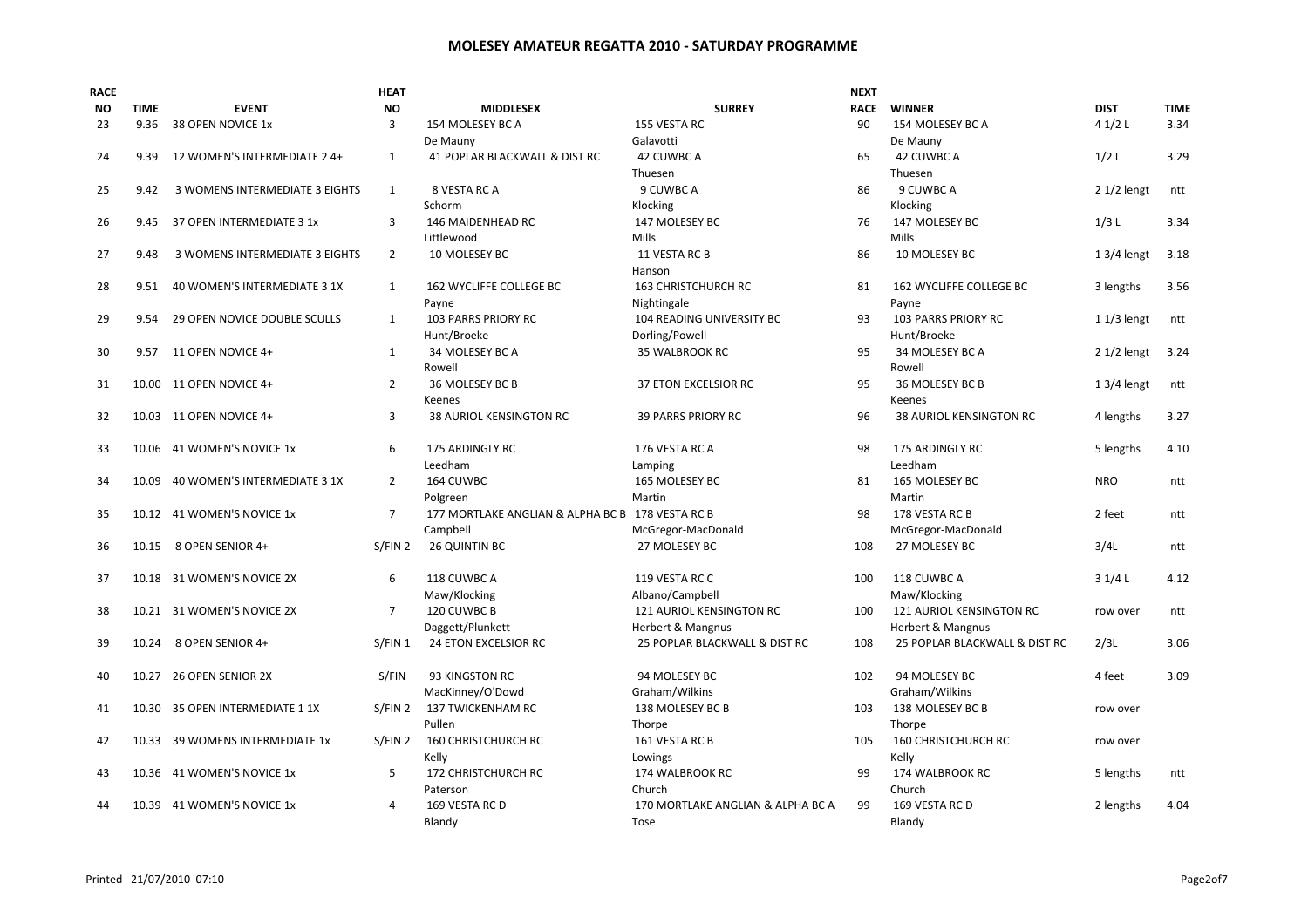| <b>NO</b><br><b>TIME</b><br><b>EVENT</b><br><b>MIDDLESEX</b><br><b>SURREY</b><br><b>NO</b><br>$\overline{3}$<br>155 VESTA RC<br>23<br>9.36<br>38 OPEN NOVICE 1x<br>154 MOLESEY BC A<br>De Mauny<br>Galavotti<br>$\mathbf{1}$<br>12 WOMEN'S INTERMEDIATE 2 4+<br>41 POPLAR BLACKWALL & DIST RC<br>42 CUWBC A<br>24<br>9.39<br>Thuesen<br>9 CUWBC A<br>3 WOMENS INTERMEDIATE 3 EIGHTS<br>$\mathbf{1}$<br>8 VESTA RC A<br>25<br>9.42<br>Schorm<br>Klocking | <b>RACE</b><br><b>WINNER</b><br><b>DIST</b><br><b>TIME</b><br>90<br>4 $1/2$ L<br>3.34<br>154 MOLESEY BC A<br>De Mauny<br>65<br>42 CUWBC A<br>1/2L<br>3.29<br>Thuesen<br>9 CUWBC A<br>86<br>$21/2$ lengt<br>ntt<br>Klocking<br>1/3L<br>3.34<br>76<br>147 MOLESEY BC<br><b>Mills</b><br>86<br>10 MOLESEY BC<br>$13/4$ lengt<br>3.18<br>81<br>162 WYCLIFFE COLLEGE BC<br>3 lengths<br>3.56 |
|---------------------------------------------------------------------------------------------------------------------------------------------------------------------------------------------------------------------------------------------------------------------------------------------------------------------------------------------------------------------------------------------------------------------------------------------------------|-----------------------------------------------------------------------------------------------------------------------------------------------------------------------------------------------------------------------------------------------------------------------------------------------------------------------------------------------------------------------------------------|
|                                                                                                                                                                                                                                                                                                                                                                                                                                                         |                                                                                                                                                                                                                                                                                                                                                                                         |
|                                                                                                                                                                                                                                                                                                                                                                                                                                                         |                                                                                                                                                                                                                                                                                                                                                                                         |
|                                                                                                                                                                                                                                                                                                                                                                                                                                                         |                                                                                                                                                                                                                                                                                                                                                                                         |
|                                                                                                                                                                                                                                                                                                                                                                                                                                                         |                                                                                                                                                                                                                                                                                                                                                                                         |
|                                                                                                                                                                                                                                                                                                                                                                                                                                                         |                                                                                                                                                                                                                                                                                                                                                                                         |
|                                                                                                                                                                                                                                                                                                                                                                                                                                                         |                                                                                                                                                                                                                                                                                                                                                                                         |
|                                                                                                                                                                                                                                                                                                                                                                                                                                                         |                                                                                                                                                                                                                                                                                                                                                                                         |
| 3<br>37 OPEN INTERMEDIATE 3 1x<br>146 MAIDENHEAD RC<br>147 MOLESEY BC<br>26<br>9.45                                                                                                                                                                                                                                                                                                                                                                     |                                                                                                                                                                                                                                                                                                                                                                                         |
| Littlewood<br><b>Mills</b>                                                                                                                                                                                                                                                                                                                                                                                                                              |                                                                                                                                                                                                                                                                                                                                                                                         |
| $\overline{2}$<br>10 MOLESEY BC<br>11 VESTA RC B<br>27<br>9.48<br>3 WOMENS INTERMEDIATE 3 EIGHTS                                                                                                                                                                                                                                                                                                                                                        |                                                                                                                                                                                                                                                                                                                                                                                         |
| Hanson                                                                                                                                                                                                                                                                                                                                                                                                                                                  |                                                                                                                                                                                                                                                                                                                                                                                         |
| 40 WOMEN'S INTERMEDIATE 3 1X<br>162 WYCLIFFE COLLEGE BC<br><b>163 CHRISTCHURCH RC</b><br>28<br>9.51<br>$\mathbf{1}$                                                                                                                                                                                                                                                                                                                                     |                                                                                                                                                                                                                                                                                                                                                                                         |
| Payne<br>Nightingale                                                                                                                                                                                                                                                                                                                                                                                                                                    | Payne                                                                                                                                                                                                                                                                                                                                                                                   |
| $\mathbf{1}$<br>103 PARRS PRIORY RC<br>29<br>29 OPEN NOVICE DOUBLE SCULLS<br>104 READING UNIVERSITY BC<br>9.54                                                                                                                                                                                                                                                                                                                                          | 93<br>103 PARRS PRIORY RC<br>$11/3$ lengt<br>ntt                                                                                                                                                                                                                                                                                                                                        |
| Hunt/Broeke<br>Dorling/Powell                                                                                                                                                                                                                                                                                                                                                                                                                           | Hunt/Broeke                                                                                                                                                                                                                                                                                                                                                                             |
| 30<br>11 OPEN NOVICE 4+<br>$\mathbf{1}$<br>34 MOLESEY BC A<br>35 WALBROOK RC<br>9.57                                                                                                                                                                                                                                                                                                                                                                    | $21/2$ lengt<br>95<br>34 MOLESEY BC A<br>3.24                                                                                                                                                                                                                                                                                                                                           |
| Rowell                                                                                                                                                                                                                                                                                                                                                                                                                                                  | Rowell                                                                                                                                                                                                                                                                                                                                                                                  |
| $\overline{2}$<br>36 MOLESEY BC B<br>31<br>10.00<br>11 OPEN NOVICE 4+<br><b>37 ETON EXCELSIOR RC</b>                                                                                                                                                                                                                                                                                                                                                    | 95<br>36 MOLESEY BC B<br>$13/4$ lengt<br>ntt                                                                                                                                                                                                                                                                                                                                            |
| Keenes                                                                                                                                                                                                                                                                                                                                                                                                                                                  | Keenes                                                                                                                                                                                                                                                                                                                                                                                  |
| 3<br><b>38 AURIOL KENSINGTON RC</b><br><b>39 PARRS PRIORY RC</b><br>32<br>10.03 11 OPEN NOVICE 4+                                                                                                                                                                                                                                                                                                                                                       | 96<br><b>38 AURIOL KENSINGTON RC</b><br>4 lengths<br>3.27                                                                                                                                                                                                                                                                                                                               |
| 6<br><b>175 ARDINGLY RC</b><br>33<br>10.06 41 WOMEN'S NOVICE 1x<br>176 VESTA RC A                                                                                                                                                                                                                                                                                                                                                                       | 98<br><b>175 ARDINGLY RC</b><br>5 lengths<br>4.10                                                                                                                                                                                                                                                                                                                                       |
| Leedham<br>Lamping                                                                                                                                                                                                                                                                                                                                                                                                                                      | Leedham                                                                                                                                                                                                                                                                                                                                                                                 |
| $\overline{2}$<br>164 CUWBC<br>34<br>40 WOMEN'S INTERMEDIATE 3 1X<br>165 MOLESEY BC<br>10.09                                                                                                                                                                                                                                                                                                                                                            | 165 MOLESEY BC<br><b>NRO</b><br>81<br>ntt                                                                                                                                                                                                                                                                                                                                               |
| Polgreen<br>Martin                                                                                                                                                                                                                                                                                                                                                                                                                                      | Martin                                                                                                                                                                                                                                                                                                                                                                                  |
| $\overline{7}$<br>10.12 41 WOMEN'S NOVICE 1x<br>177 MORTLAKE ANGLIAN & ALPHA BC B 178 VESTA RC B<br>35                                                                                                                                                                                                                                                                                                                                                  | 178 VESTA RC B<br>98<br>2 feet<br>ntt                                                                                                                                                                                                                                                                                                                                                   |
| Campbell<br>McGregor-MacDonald                                                                                                                                                                                                                                                                                                                                                                                                                          | McGregor-MacDonald                                                                                                                                                                                                                                                                                                                                                                      |
| S/FIN <sub>2</sub><br>26 QUINTIN BC<br>36<br>8 OPEN SENIOR 4+<br>27 MOLESEY BC<br>10.15                                                                                                                                                                                                                                                                                                                                                                 | 3/4L<br>108<br>27 MOLESEY BC<br>ntt                                                                                                                                                                                                                                                                                                                                                     |
|                                                                                                                                                                                                                                                                                                                                                                                                                                                         |                                                                                                                                                                                                                                                                                                                                                                                         |
| 6<br>118 CUWBC A<br>37<br>10.18 31 WOMEN'S NOVICE 2X<br>119 VESTA RC C                                                                                                                                                                                                                                                                                                                                                                                  | 118 CUWBC A<br>4.12<br>100<br>31/4L                                                                                                                                                                                                                                                                                                                                                     |
| Maw/Klocking<br>Albano/Campbell                                                                                                                                                                                                                                                                                                                                                                                                                         | Maw/Klocking                                                                                                                                                                                                                                                                                                                                                                            |
| $\overline{7}$<br>120 CUWBC B<br>121 AURIOL KENSINGTON RC<br>38<br>10.21 31 WOMEN'S NOVICE 2X                                                                                                                                                                                                                                                                                                                                                           | 121 AURIOL KENSINGTON RC<br>100<br>ntt<br>row over                                                                                                                                                                                                                                                                                                                                      |
| Daggett/Plunkett<br>Herbert & Mangnus                                                                                                                                                                                                                                                                                                                                                                                                                   | <b>Herbert &amp; Mangnus</b>                                                                                                                                                                                                                                                                                                                                                            |
| S/FIN 1<br>24 ETON EXCELSIOR RC<br>25 POPLAR BLACKWALL & DIST RC<br>39<br>10.24<br>8 OPEN SENIOR 4+                                                                                                                                                                                                                                                                                                                                                     | 25 POPLAR BLACKWALL & DIST RC<br>2/3L<br>3.06<br>108                                                                                                                                                                                                                                                                                                                                    |
|                                                                                                                                                                                                                                                                                                                                                                                                                                                         |                                                                                                                                                                                                                                                                                                                                                                                         |
| 10.27 26 OPEN SENIOR 2X<br>S/FIN<br>93 KINGSTON RC<br>94 MOLESEY BC<br>40                                                                                                                                                                                                                                                                                                                                                                               | 3.09<br>102<br>94 MOLESEY BC<br>4 feet                                                                                                                                                                                                                                                                                                                                                  |
| Graham/Wilkins<br>MacKinney/O'Dowd                                                                                                                                                                                                                                                                                                                                                                                                                      | Graham/Wilkins                                                                                                                                                                                                                                                                                                                                                                          |
| S/FIN 2<br>137 TWICKENHAM RC<br>138 MOLESEY BC B<br>41<br>10.30 35 OPEN INTERMEDIATE 1 1X                                                                                                                                                                                                                                                                                                                                                               | 138 MOLESEY BC B<br>103<br>row over                                                                                                                                                                                                                                                                                                                                                     |
| Pullen<br>Thorpe                                                                                                                                                                                                                                                                                                                                                                                                                                        | Thorpe                                                                                                                                                                                                                                                                                                                                                                                  |
| S/FIN2<br><b>160 CHRISTCHURCH RC</b><br>39 WOMENS INTERMEDIATE 1x<br>161 VESTA RC B<br>42<br>10.33                                                                                                                                                                                                                                                                                                                                                      | <b>160 CHRISTCHURCH RC</b><br>105<br>row over                                                                                                                                                                                                                                                                                                                                           |
| Kelly<br>Lowings                                                                                                                                                                                                                                                                                                                                                                                                                                        | Kelly                                                                                                                                                                                                                                                                                                                                                                                   |
| 10.36 41 WOMEN'S NOVICE 1x<br>5<br>172 CHRISTCHURCH RC<br>174 WALBROOK RC<br>43                                                                                                                                                                                                                                                                                                                                                                         | 99<br>174 WALBROOK RC<br>5 lengths<br>ntt                                                                                                                                                                                                                                                                                                                                               |
| Church<br>Paterson                                                                                                                                                                                                                                                                                                                                                                                                                                      | Church                                                                                                                                                                                                                                                                                                                                                                                  |
| 169 VESTA RC D<br>170 MORTLAKE ANGLIAN & ALPHA BC A<br>10.39 41 WOMEN'S NOVICE 1x<br>4<br>44                                                                                                                                                                                                                                                                                                                                                            | 99<br>169 VESTA RC D<br>4.04<br>2 lengths                                                                                                                                                                                                                                                                                                                                               |
| Blandy<br>Tose                                                                                                                                                                                                                                                                                                                                                                                                                                          | Blandy                                                                                                                                                                                                                                                                                                                                                                                  |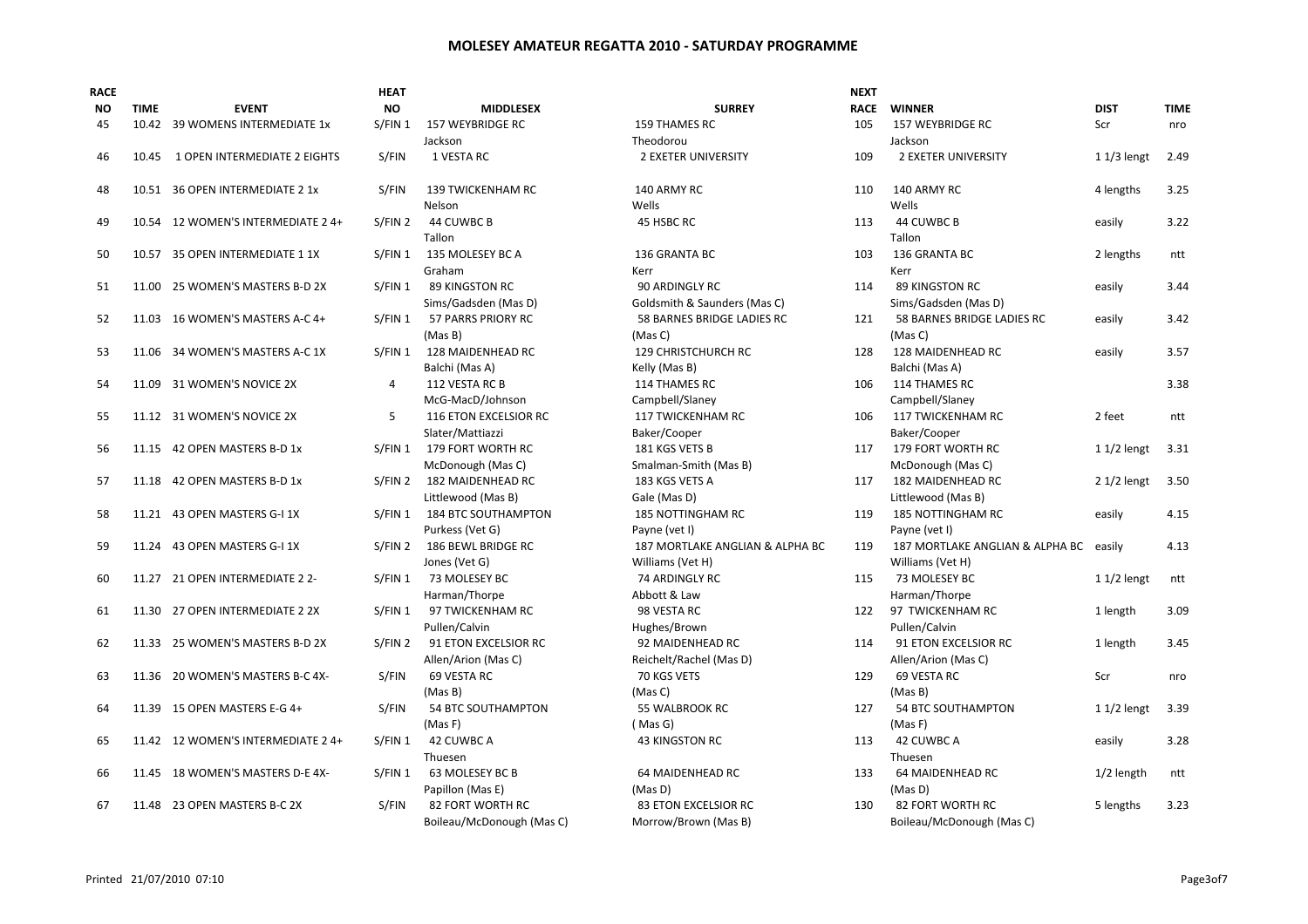| <b>RACE</b> |             |                                    | HEAT      |                           |                                 | <b>NEXT</b> |                                 |              |             |
|-------------|-------------|------------------------------------|-----------|---------------------------|---------------------------------|-------------|---------------------------------|--------------|-------------|
| <b>NO</b>   | <b>TIME</b> | <b>EVENT</b>                       | <b>NO</b> | <b>MIDDLESEX</b>          | <b>SURREY</b>                   | <b>RACE</b> | <b>WINNER</b>                   | <b>DIST</b>  | <b>TIME</b> |
| 45          |             | 10.42 39 WOMENS INTERMEDIATE 1x    | S/FIN 1   | 157 WEYBRIDGE RC          | 159 THAMES RC                   | 105         | 157 WEYBRIDGE RC                | Scr          | nro         |
|             |             |                                    |           | Jackson                   | Theodorou                       |             | Jackson                         |              |             |
| 46          | 10.45       | 1 OPEN INTERMEDIATE 2 EIGHTS       | S/FIN     | 1 VESTA RC                | <b>2 EXETER UNIVERSITY</b>      | 109         | <b>2 EXETER UNIVERSITY</b>      | $11/3$ lengt | 2.49        |
| 48          |             | 10.51 36 OPEN INTERMEDIATE 2 1x    | S/FIN     | <b>139 TWICKENHAM RC</b>  | 140 ARMY RC                     | 110         | 140 ARMY RC                     | 4 lengths    | 3.25        |
|             |             |                                    |           | Nelson                    | Wells                           |             | Wells                           |              |             |
| 49          |             | 10.54 12 WOMEN'S INTERMEDIATE 2 4+ | S/FIN 2   | 44 CUWBC B<br>Tallon      | 45 HSBC RC                      | 113         | 44 CUWBC B<br>Tallon            | easily       | 3.22        |
| 50          |             | 10.57 35 OPEN INTERMEDIATE 1 1X    | S/FIN 1   | 135 MOLESEY BC A          | 136 GRANTA BC                   | 103         | 136 GRANTA BC                   | 2 lengths    | ntt         |
|             |             |                                    |           | Graham                    | Kerr                            |             | Kerr                            |              |             |
| 51          |             | 11.00 25 WOMEN'S MASTERS B-D 2X    | S/FIN 1   | <b>89 KINGSTON RC</b>     | 90 ARDINGLY RC                  | 114         | <b>89 KINGSTON RC</b>           | easily       | 3.44        |
|             |             |                                    |           | Sims/Gadsden (Mas D)      | Goldsmith & Saunders (Mas C)    |             | Sims/Gadsden (Mas D)            |              |             |
| 52          |             | 11.03 16 WOMEN'S MASTERS A-C 4+    | S/FIN 1   | 57 PARRS PRIORY RC        | 58 BARNES BRIDGE LADIES RC      | 121         | 58 BARNES BRIDGE LADIES RC      | easily       | 3.42        |
|             |             |                                    |           | (Mas B)                   | (Mas C)                         |             | (Mas C)                         |              |             |
| 53          |             | 11.06 34 WOMEN'S MASTERS A-C 1X    | S/FIN 1   | 128 MAIDENHEAD RC         | 129 CHRISTCHURCH RC             | 128         | 128 MAIDENHEAD RC               | easily       | 3.57        |
|             |             |                                    |           | Balchi (Mas A)            | Kelly (Mas B)                   |             | Balchi (Mas A)                  |              |             |
| 54          | 11.09       | 31 WOMEN'S NOVICE 2X               | 4         | 112 VESTA RC B            | 114 THAMES RC                   | 106         | 114 THAMES RC                   |              | 3.38        |
|             |             |                                    |           | McG-MacD/Johnson          | Campbell/Slaney                 |             | Campbell/Slaney                 |              |             |
| 55          |             | 11.12 31 WOMEN'S NOVICE 2X         | 5         | 116 ETON EXCELSIOR RC     | 117 TWICKENHAM RC               | 106         | 117 TWICKENHAM RC               | 2 feet       | ntt         |
|             |             |                                    |           | Slater/Mattiazzi          | Baker/Cooper                    |             | Baker/Cooper                    |              |             |
| 56          |             | 11.15 42 OPEN MASTERS B-D 1x       | S/FIN 1   | 179 FORT WORTH RC         | 181 KGS VETS B                  | 117         | 179 FORT WORTH RC               | $11/2$ lengt | 3.31        |
|             |             |                                    |           | McDonough (Mas C)         | Smalman-Smith (Mas B)           |             | McDonough (Mas C)               |              |             |
| 57          |             | 11.18 42 OPEN MASTERS B-D 1x       | S/FIN 2   | 182 MAIDENHEAD RC         | 183 KGS VETS A                  | 117         | <b>182 MAIDENHEAD RC</b>        | $21/2$ lengt | 3.50        |
|             |             |                                    |           | Littlewood (Mas B)        | Gale (Mas D)                    |             | Littlewood (Mas B)              |              |             |
|             |             | 11.21 43 OPEN MASTERS G-I 1X       |           |                           | 185 NOTTINGHAM RC               |             | <b>185 NOTTINGHAM RC</b>        |              |             |
| 58          |             |                                    | S/FIN 1   | 184 BTC SOUTHAMPTON       |                                 | 119         |                                 | easily       | 4.15        |
|             |             |                                    |           | Purkess (Vet G)           | Payne (vet I)                   |             | Payne (vet I)                   |              |             |
| 59          |             | 11.24 43 OPEN MASTERS G-I 1X       | S/FIN 2   | 186 BEWL BRIDGE RC        | 187 MORTLAKE ANGLIAN & ALPHA BC | 119         | 187 MORTLAKE ANGLIAN & ALPHA BC | easily       | 4.13        |
|             |             |                                    |           | Jones (Vet G)             | Williams (Vet H)                |             | Williams (Vet H)                |              |             |
| 60          |             | 11.27 21 OPEN INTERMEDIATE 2 2-    | S/FIN 1   | 73 MOLESEY BC             | 74 ARDINGLY RC                  | 115         | 73 MOLESEY BC                   | $11/2$ lengt | ntt         |
|             |             |                                    |           | Harman/Thorpe             | Abbott & Law                    |             | Harman/Thorpe                   |              |             |
| 61          |             | 11.30 27 OPEN INTERMEDIATE 2 2X    | S/FIN 1   | 97 TWICKENHAM RC          | 98 VESTA RC                     | 122         | 97 TWICKENHAM RC                | 1 length     | 3.09        |
|             |             |                                    |           | Pullen/Calvin             | Hughes/Brown                    |             | Pullen/Calvin                   |              |             |
| 62          |             | 11.33 25 WOMEN'S MASTERS B-D 2X    | S/FIN 2   | 91 ETON EXCELSIOR RC      | 92 MAIDENHEAD RC                | 114         | 91 ETON EXCELSIOR RC            | 1 length     | 3.45        |
|             |             |                                    |           | Allen/Arion (Mas C)       | Reichelt/Rachel (Mas D)         |             | Allen/Arion (Mas C)             |              |             |
| 63          |             | 11.36 20 WOMEN'S MASTERS B-C 4X-   | S/FIN     | 69 VESTA RC               | 70 KGS VETS                     | 129         | 69 VESTA RC                     | Scr          | nro         |
|             |             |                                    |           | (Mas B)                   | (Mas C)                         |             | (Mas B)                         |              |             |
| 64          |             | 11.39 15 OPEN MASTERS E-G 4+       | S/FIN     | 54 BTC SOUTHAMPTON        | 55 WALBROOK RC                  | 127         | 54 BTC SOUTHAMPTON              | $11/2$ lengt | 3.39        |
|             |             |                                    |           | (Mas F)                   | (Mas G)                         |             | (Mas F)                         |              |             |
| 65          |             | 11.42 12 WOMEN'S INTERMEDIATE 2 4+ | S/FIN 1   | 42 CUWBC A                | <b>43 KINGSTON RC</b>           | 113         | 42 CUWBC A                      | easily       | 3.28        |
|             |             |                                    |           | Thuesen                   |                                 |             | Thuesen                         |              |             |
| 66          |             | 11.45 18 WOMEN'S MASTERS D-E 4X-   | S/FIN 1   | 63 MOLESEY BC B           | <b>64 MAIDENHEAD RC</b>         | 133         | 64 MAIDENHEAD RC                | $1/2$ length | ntt         |
|             |             |                                    |           | Papillon (Mas E)          | (Mas D)                         |             | (Mas D)                         |              |             |
| 67          |             | 11.48 23 OPEN MASTERS B-C 2X       | S/FIN     | 82 FORT WORTH RC          | 83 ETON EXCELSIOR RC            | 130         | 82 FORT WORTH RC                | 5 lengths    | 3.23        |
|             |             |                                    |           | Boileau/McDonough (Mas C) | Morrow/Brown (Mas B)            |             | Boileau/McDonough (Mas C)       |              |             |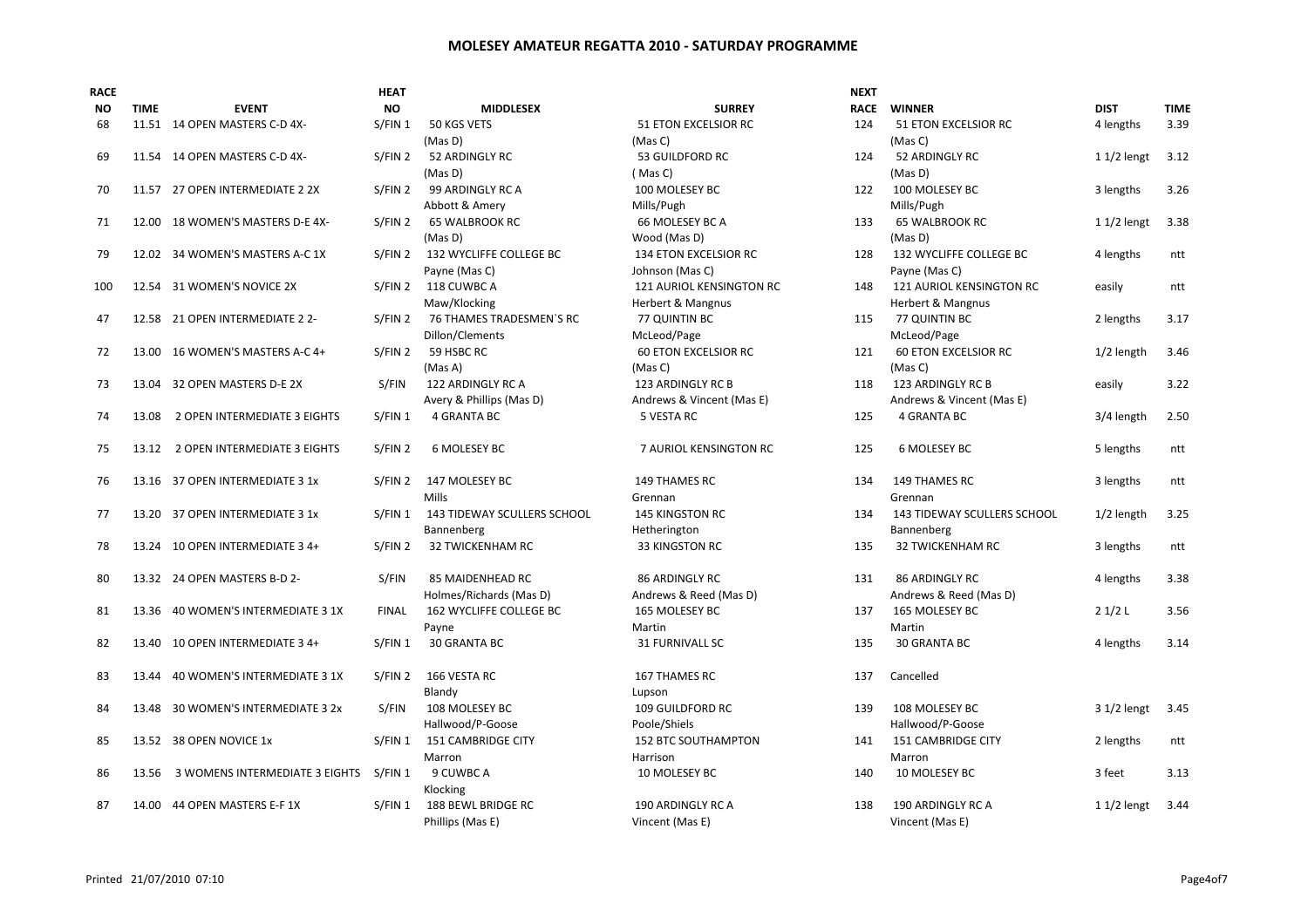| <b>RACE</b> |             |                                    | <b>HEAT</b>        |                                    |                             | <b>NEXT</b> |                             |              |             |
|-------------|-------------|------------------------------------|--------------------|------------------------------------|-----------------------------|-------------|-----------------------------|--------------|-------------|
| ΝO          | <b>TIME</b> | <b>EVENT</b>                       | <b>NO</b>          | <b>MIDDLESEX</b>                   | <b>SURREY</b>               | <b>RACE</b> | <b>WINNER</b>               | <b>DIST</b>  | <b>TIME</b> |
| 68          |             | 11.51 14 OPEN MASTERS C-D 4X-      | S/FIN 1            | 50 KGS VETS                        | <b>51 ETON EXCELSIOR RC</b> | 124         | 51 ETON EXCELSIOR RC        | 4 lengths    | 3.39        |
|             |             |                                    |                    | (Mas D)                            | (Mas C)                     |             | (Mas C)                     |              |             |
| 69          |             | 11.54 14 OPEN MASTERS C-D 4X-      | S/FIN 2            | 52 ARDINGLY RC                     | 53 GUILDFORD RC             | 124         | 52 ARDINGLY RC              | $11/2$ lengt | 3.12        |
|             |             |                                    |                    | (Mas D)                            | (Mas C)                     |             | (Mas D)                     |              |             |
| 70          |             | 11.57 27 OPEN INTERMEDIATE 2 2X    | S/FIN 2            | 99 ARDINGLY RC A                   | 100 MOLESEY BC              | 122         | 100 MOLESEY BC              | 3 lengths    | 3.26        |
|             |             |                                    |                    | Abbott & Amery                     | Mills/Pugh                  |             | Mills/Pugh                  |              |             |
| 71          | 12.00       | 18 WOMEN'S MASTERS D-E 4X-         | S/FIN 2            | <b>65 WALBROOK RC</b>              | 66 MOLESEY BC A             | 133         | <b>65 WALBROOK RC</b>       | $11/2$ lengt | 3.38        |
|             |             |                                    |                    | (Mas D)                            | Wood (Mas D)                |             | (Mas D)                     |              |             |
| 79          |             | 12.02 34 WOMEN'S MASTERS A-C 1X    |                    | S/FIN 2 132 WYCLIFFE COLLEGE BC    | 134 ETON EXCELSIOR RC       | 128         | 132 WYCLIFFE COLLEGE BC     | 4 lengths    | ntt         |
|             |             |                                    |                    | Payne (Mas C)                      | Johnson (Mas C)             |             | Payne (Mas C)               |              |             |
| 100         |             | 12.54 31 WOMEN'S NOVICE 2X         |                    | S/FIN 2 118 CUWBC A                | 121 AURIOL KENSINGTON RC    | 148         | 121 AURIOL KENSINGTON RC    | easily       | ntt         |
|             |             |                                    |                    | Maw/Klocking                       | Herbert & Mangnus           |             | Herbert & Mangnus           |              |             |
| 47          |             | 12.58 21 OPEN INTERMEDIATE 2 2-    | S/FIN 2            | 76 THAMES TRADESMEN'S RC           | 77 QUINTIN BC               | 115         | 77 QUINTIN BC               | 2 lengths    | 3.17        |
|             |             |                                    |                    | Dillon/Clements                    | McLeod/Page                 |             | McLeod/Page                 |              |             |
| 72          | 13.00       | 16 WOMEN'S MASTERS A-C 4+          | S/FIN 2            | 59 HSBC RC                         | <b>60 ETON EXCELSIOR RC</b> | 121         | <b>60 ETON EXCELSIOR RC</b> | 1/2 length   | 3.46        |
|             |             |                                    |                    | (Mas A)                            | (Mas C)                     |             | (Mas C)                     |              |             |
| 73          |             | 13.04 32 OPEN MASTERS D-E 2X       | S/FIN              | 122 ARDINGLY RC A                  | 123 ARDINGLY RC B           | 118         | 123 ARDINGLY RC B           | easily       | 3.22        |
|             |             |                                    |                    | Avery & Phillips (Mas D)           | Andrews & Vincent (Mas E)   |             | Andrews & Vincent (Mas E)   |              |             |
| 74          | 13.08       | 2 OPEN INTERMEDIATE 3 EIGHTS       | S/FIN 1            | 4 GRANTA BC                        | 5 VESTA RC                  | 125         | <b>4 GRANTA BC</b>          | 3/4 length   | 2.50        |
|             |             |                                    |                    |                                    |                             |             |                             |              |             |
| 75          |             | 13.12 2 OPEN INTERMEDIATE 3 EIGHTS | S/FIN 2            | 6 MOLESEY BC                       | 7 AURIOL KENSINGTON RC      | 125         | 6 MOLESEY BC                | 5 lengths    | ntt         |
|             |             |                                    |                    |                                    |                             |             |                             |              |             |
| 76          | 13.16       | 37 OPEN INTERMEDIATE 3 1x          | S/FIN 2            | 147 MOLESEY BC                     | 149 THAMES RC               | 134         | 149 THAMES RC               | 3 lengths    | ntt         |
|             |             |                                    |                    | Mills                              | Grennan                     |             | Grennan                     |              |             |
| 77          |             | 13.20 37 OPEN INTERMEDIATE 3 1x    | S/FIN 1            | <b>143 TIDEWAY SCULLERS SCHOOL</b> | <b>145 KINGSTON RC</b>      | 134         | 143 TIDEWAY SCULLERS SCHOOL | $1/2$ length | 3.25        |
|             |             |                                    |                    | Bannenberg                         | Hetherington                |             | Bannenberg                  |              |             |
| 78          |             | 13.24 10 OPEN INTERMEDIATE 3 4+    | S/FIN <sub>2</sub> | <b>32 TWICKENHAM RC</b>            | 33 KINGSTON RC              | 135         | <b>32 TWICKENHAM RC</b>     | 3 lengths    | ntt         |
|             |             |                                    |                    |                                    |                             |             |                             |              |             |
| 80          |             | 13.32 24 OPEN MASTERS B-D 2-       | S/FIN              | 85 MAIDENHEAD RC                   | <b>86 ARDINGLY RC</b>       | 131         | <b>86 ARDINGLY RC</b>       | 4 lengths    | 3.38        |
|             |             |                                    |                    | Holmes/Richards (Mas D)            | Andrews & Reed (Mas D)      |             | Andrews & Reed (Mas D)      |              |             |
| 81          | 13.36       | 40 WOMEN'S INTERMEDIATE 3 1X       | FINAL              | 162 WYCLIFFE COLLEGE BC            | 165 MOLESEY BC              | 137         | 165 MOLESEY BC              | 21/2L        | 3.56        |
|             |             |                                    |                    | Payne                              | Martin                      |             | Martin                      |              |             |
| 82          |             | 13.40 10 OPEN INTERMEDIATE 3 4+    | S/FIN 1            | 30 GRANTA BC                       | <b>31 FURNIVALL SC</b>      | 135         | 30 GRANTA BC                | 4 lengths    | 3.14        |
|             |             |                                    |                    |                                    |                             |             |                             |              |             |
| 83          |             | 13.44 40 WOMEN'S INTERMEDIATE 3 1X | S/FIN 2            | 166 VESTA RC                       | <b>167 THAMES RC</b>        | 137         | Cancelled                   |              |             |
|             |             |                                    |                    | Blandy                             | Lupson                      |             |                             |              |             |
| 84          | 13.48       | 30 WOMEN'S INTERMEDIATE 3 2x       | S/FIN              | 108 MOLESEY BC                     | 109 GUILDFORD RC            | 139         | 108 MOLESEY BC              | 3 1/2 lengt  | 3.45        |
|             |             |                                    |                    | Hallwood/P-Goose                   | Poole/Shiels                |             | Hallwood/P-Goose            |              |             |
| 85          |             | 13.52 38 OPEN NOVICE 1x            | S/FIN 1            | 151 CAMBRIDGE CITY                 | 152 BTC SOUTHAMPTON         | 141         | 151 CAMBRIDGE CITY          | 2 lengths    | ntt         |
|             |             |                                    |                    | Marron                             | Harrison                    |             | Marron                      |              |             |
| 86          | 13.56       | 3 WOMENS INTERMEDIATE 3 EIGHTS     | S/FIN 1            | 9 CUWBC A                          | 10 MOLESEY BC               | 140         | 10 MOLESEY BC               | 3 feet       | 3.13        |
|             |             |                                    |                    | Klocking                           |                             |             |                             |              |             |
| 87          |             | 14.00 44 OPEN MASTERS E-F 1X       | S/FIN 1            | 188 BEWL BRIDGE RC                 | 190 ARDINGLY RC A           | 138         | 190 ARDINGLY RC A           | $11/2$ lengt | 3.44        |
|             |             |                                    |                    |                                    | Vincent (Mas E)             |             | Vincent (Mas E)             |              |             |
|             |             |                                    |                    | Phillips (Mas E)                   |                             |             |                             |              |             |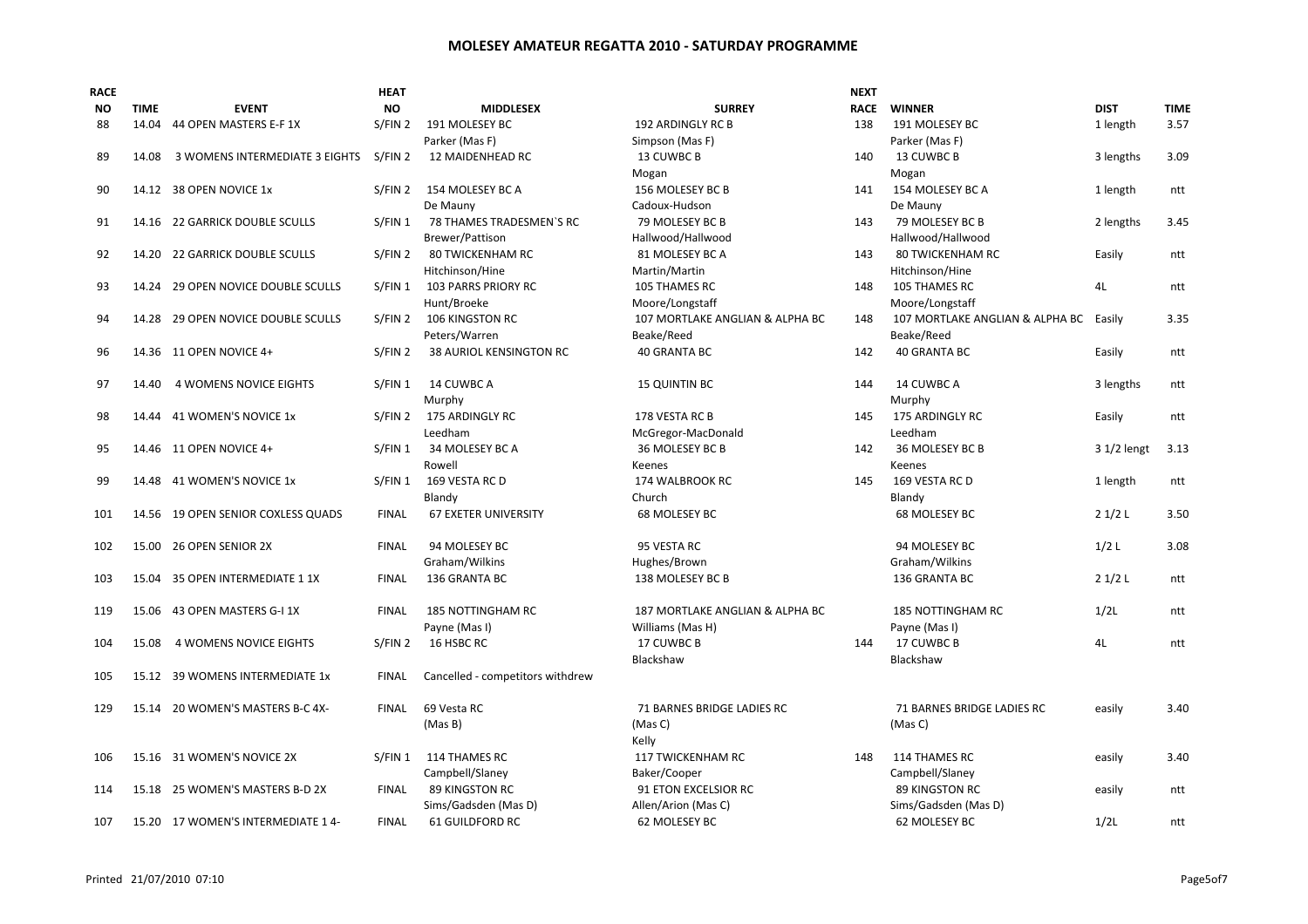| <b>RACE</b> |             |                                    | <b>HEAT</b>  |                                  |                                 | <b>NEXT</b> |                                 |             |             |
|-------------|-------------|------------------------------------|--------------|----------------------------------|---------------------------------|-------------|---------------------------------|-------------|-------------|
| ΝO          | <b>TIME</b> | <b>EVENT</b>                       | <b>NO</b>    | <b>MIDDLESEX</b>                 | <b>SURREY</b>                   | <b>RACE</b> | <b>WINNER</b>                   | <b>DIST</b> | <b>TIME</b> |
| 88          | 14.04       | 44 OPEN MASTERS E-F 1X             | S/FIN 2      | 191 MOLESEY BC                   | 192 ARDINGLY RC B               | 138         | 191 MOLESEY BC                  | 1 length    | 3.57        |
|             |             |                                    |              | Parker (Mas F)                   | Simpson (Mas F)                 |             | Parker (Mas F)                  |             |             |
| 89          | 14.08       | 3 WOMENS INTERMEDIATE 3 EIGHTS     | S/FIN 2      | 12 MAIDENHEAD RC                 | 13 CUWBC B                      | 140         | 13 CUWBC B                      | 3 lengths   | 3.09        |
|             |             |                                    |              |                                  | Mogan                           |             | Mogan                           |             |             |
| 90          |             | 14.12 38 OPEN NOVICE 1x            | S/FIN 2      | 154 MOLESEY BC A                 | 156 MOLESEY BC B                | 141         | 154 MOLESEY BC A                | 1 length    | ntt         |
|             |             |                                    |              | De Mauny                         | Cadoux-Hudson                   |             | De Mauny                        |             |             |
| 91          | 14.16       | 22 GARRICK DOUBLE SCULLS           | S/FIN 1      | 78 THAMES TRADESMEN'S RC         | 79 MOLESEY BC B                 | 143         | 79 MOLESEY BC B                 | 2 lengths   | 3.45        |
|             |             |                                    |              | Brewer/Pattison                  | Hallwood/Hallwood               |             | Hallwood/Hallwood               |             |             |
| 92          |             | 14.20 22 GARRICK DOUBLE SCULLS     | S/FIN 2      | <b>80 TWICKENHAM RC</b>          | 81 MOLESEY BC A                 | 143         | <b>80 TWICKENHAM RC</b>         | Easily      | ntt         |
|             |             |                                    |              | Hitchinson/Hine                  | Martin/Martin                   |             | Hitchinson/Hine                 |             |             |
| 93          |             | 14.24 29 OPEN NOVICE DOUBLE SCULLS | S/FIN 1      | <b>103 PARRS PRIORY RC</b>       | 105 THAMES RC                   | 148         | 105 THAMES RC                   | 4L          | ntt         |
|             |             |                                    |              | Hunt/Broeke                      | Moore/Longstaff                 |             | Moore/Longstaff                 |             |             |
| 94          |             | 14.28 29 OPEN NOVICE DOUBLE SCULLS | S/FIN 2      | <b>106 KINGSTON RC</b>           | 107 MORTLAKE ANGLIAN & ALPHA BC | 148         | 107 MORTLAKE ANGLIAN & ALPHA BC | Easily      | 3.35        |
|             |             |                                    |              | Peters/Warren                    | Beake/Reed                      |             | Beake/Reed                      |             |             |
| 96          |             | 14.36 11 OPEN NOVICE 4+            | S/FIN 2      | <b>38 AURIOL KENSINGTON RC</b>   | 40 GRANTA BC                    | 142         | 40 GRANTA BC                    | Easily      | ntt         |
| 97          | 14.40       | <b>4 WOMENS NOVICE EIGHTS</b>      | S/FIN 1      | 14 CUWBC A                       | <b>15 QUINTIN BC</b>            | 144         | 14 CUWBC A                      | 3 lengths   | ntt         |
|             |             |                                    |              | Murphy                           |                                 |             | Murphy                          |             |             |
| 98          |             | 14.44 41 WOMEN'S NOVICE 1x         | S/FIN 2      | 175 ARDINGLY RC                  | 178 VESTA RC B                  | 145         | 175 ARDINGLY RC                 | Easily      | ntt         |
|             |             |                                    |              | Leedham                          | McGregor-MacDonald              |             | Leedham                         |             |             |
| 95          |             | 14.46 11 OPEN NOVICE 4+            | S/FIN 1      | 34 MOLESEY BC A                  | 36 MOLESEY BC B                 | 142         | 36 MOLESEY BC B                 | 3 1/2 lengt | 3.13        |
|             |             |                                    |              | Rowell                           | Keenes                          |             | Keenes                          |             |             |
| 99          |             | 14.48 41 WOMEN'S NOVICE 1x         | S/FIN 1      | 169 VESTA RC D                   | 174 WALBROOK RC                 | 145         | 169 VESTA RC D                  | 1 length    | ntt         |
|             |             |                                    |              | Blandy                           | Church                          |             | Blandy                          |             |             |
| 101         |             | 14.56 19 OPEN SENIOR COXLESS QUADS | <b>FINAL</b> | <b>67 EXETER UNIVERSITY</b>      | 68 MOLESEY BC                   |             | 68 MOLESEY BC                   | 21/2L       | 3.50        |
|             |             |                                    |              |                                  |                                 |             |                                 |             |             |
| 102         |             | 15.00 26 OPEN SENIOR 2X            | <b>FINAL</b> | 94 MOLESEY BC                    | 95 VESTA RC                     |             | 94 MOLESEY BC                   | $1/2$ L     | 3.08        |
|             |             |                                    |              | Graham/Wilkins                   | Hughes/Brown                    |             | Graham/Wilkins                  |             |             |
| 103         |             | 15.04 35 OPEN INTERMEDIATE 1 1X    | <b>FINAL</b> | 136 GRANTA BC                    | 138 MOLESEY BC B                |             | 136 GRANTA BC                   | 21/2L       | ntt         |
| 119         |             | 15.06 43 OPEN MASTERS G-I 1X       | <b>FINAL</b> | 185 NOTTINGHAM RC                | 187 MORTLAKE ANGLIAN & ALPHA BC |             | 185 NOTTINGHAM RC               | 1/2L        | ntt         |
|             |             |                                    |              | Payne (Mas I)                    | Williams (Mas H)                |             | Payne (Mas I)                   |             |             |
| 104         | 15.08       | 4 WOMENS NOVICE EIGHTS             | S/FIN 2      | 16 HSBC RC                       | 17 CUWBC B                      | 144         | 17 CUWBC B                      | 4L          | ntt         |
|             |             |                                    |              |                                  | Blackshaw                       |             | Blackshaw                       |             |             |
| 105         |             | 15.12 39 WOMENS INTERMEDIATE 1x    | <b>FINAL</b> | Cancelled - competitors withdrew |                                 |             |                                 |             |             |
|             |             |                                    |              |                                  |                                 |             |                                 |             |             |
| 129         |             | 15.14 20 WOMEN'S MASTERS B-C 4X-   | <b>FINAL</b> | 69 Vesta RC                      | 71 BARNES BRIDGE LADIES RC      |             | 71 BARNES BRIDGE LADIES RC      | easily      | 3.40        |
|             |             |                                    |              | (Mas B)                          | (Mas C)                         |             | (Mas C)                         |             |             |
|             |             |                                    |              |                                  | Kelly                           |             |                                 |             |             |
| 106         |             | 15.16 31 WOMEN'S NOVICE 2X         | S/FIN 1      | 114 THAMES RC                    | 117 TWICKENHAM RC               | 148         | 114 THAMES RC                   | easily      | 3.40        |
|             |             |                                    |              | Campbell/Slaney                  | Baker/Cooper                    |             | Campbell/Slaney                 |             |             |
| 114         |             | 15.18 25 WOMEN'S MASTERS B-D 2X    | <b>FINAL</b> | 89 KINGSTON RC                   | 91 ETON EXCELSIOR RC            |             | 89 KINGSTON RC                  | easily      | ntt         |
|             |             |                                    |              | Sims/Gadsden (Mas D)             | Allen/Arion (Mas C)             |             | Sims/Gadsden (Mas D)            |             |             |
| 107         |             | 15.20 17 WOMEN'S INTERMEDIATE 14-  | <b>FINAL</b> | 61 GUILDFORD RC                  | 62 MOLESEY BC                   |             | 62 MOLESEY BC                   | 1/2L        | ntt         |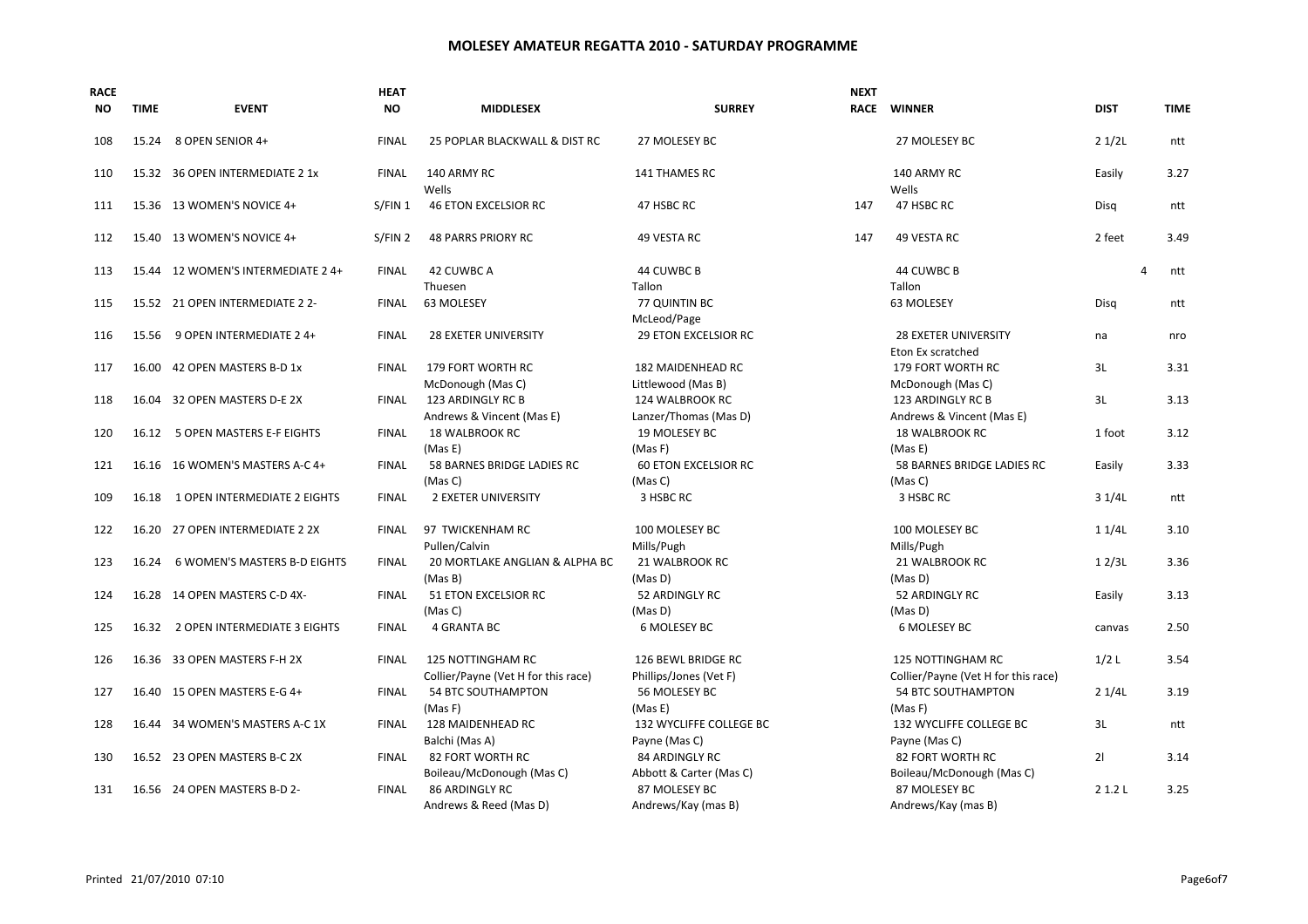| <b>RACE</b><br>NO. | <b>TIME</b> | <b>EVENT</b>                        | <b>HEAT</b><br><b>NO</b> | <b>MIDDLESEX</b>                                                | <b>SURREY</b>                                | <b>NEXT</b> | RACE WINNER                                                     | <b>DIST</b> |          | <b>TIME</b> |
|--------------------|-------------|-------------------------------------|--------------------------|-----------------------------------------------------------------|----------------------------------------------|-------------|-----------------------------------------------------------------|-------------|----------|-------------|
| 108                | 15.24       | 8 OPEN SENIOR 4+                    | <b>FINAL</b>             | 25 POPLAR BLACKWALL & DIST RC                                   | 27 MOLESEY BC                                |             | 27 MOLESEY BC                                                   | 21/2L       |          | ntt         |
| 110                |             | 15.32 36 OPEN INTERMEDIATE 2 1x     | <b>FINAL</b>             | 140 ARMY RC<br>Wells                                            | 141 THAMES RC                                |             | 140 ARMY RC<br>Wells                                            | Easily      |          | 3.27        |
| 111                |             | 15.36 13 WOMEN'S NOVICE 4+          | S/FIN 1                  | <b>46 ETON EXCELSIOR RC</b>                                     | 47 HSBC RC                                   | 147         | 47 HSBC RC                                                      | Disg        |          | ntt         |
| 112                |             | 15.40 13 WOMEN'S NOVICE 4+          | S/FIN 2                  | <b>48 PARRS PRIORY RC</b>                                       | 49 VESTA RC                                  | 147         | 49 VESTA RC                                                     | 2 feet      |          | 3.49        |
| 113                |             | 15.44 12 WOMEN'S INTERMEDIATE 2 4+  | <b>FINAL</b>             | 42 CUWBC A<br>Thuesen                                           | 44 CUWBC B<br>Tallon                         |             | 44 CUWBC B<br>Tallon                                            |             | $\Delta$ | ntt         |
| 115                |             | 15.52 21 OPEN INTERMEDIATE 2 2-     | <b>FINAL</b>             | 63 MOLESEY                                                      | 77 QUINTIN BC<br>McLeod/Page                 |             | 63 MOLESEY                                                      | Disa        |          | ntt         |
| 116                | 15.56       | 9 OPEN INTERMEDIATE 2 4+            | <b>FINAL</b>             | <b>28 EXETER UNIVERSITY</b>                                     | <b>29 ETON EXCELSIOR RC</b>                  |             | <b>28 EXETER UNIVERSITY</b><br>Eton Ex scratched                | na          |          | nro         |
| 117                |             | 16.00 42 OPEN MASTERS B-D 1x        | <b>FINAL</b>             | 179 FORT WORTH RC<br>McDonough (Mas C)                          | 182 MAIDENHEAD RC<br>Littlewood (Mas B)      |             | 179 FORT WORTH RC<br>McDonough (Mas C)                          | 3L          |          | 3.31        |
| 118                |             | 16.04 32 OPEN MASTERS D-E 2X        | <b>FINAL</b>             | 123 ARDINGLY RC B<br>Andrews & Vincent (Mas E)                  | 124 WALBROOK RC<br>Lanzer/Thomas (Mas D)     |             | 123 ARDINGLY RC B<br>Andrews & Vincent (Mas E)                  | 3L          |          | 3.13        |
| 120                | 16.12       | 5 OPEN MASTERS E-F EIGHTS           | <b>FINAL</b>             | <b>18 WALBROOK RC</b><br>(Mas E)                                | 19 MOLESEY BC<br>(Mas F)                     |             | <b>18 WALBROOK RC</b><br>(Mas E)                                | 1 foot      |          | 3.12        |
| 121                |             | 16.16 16 WOMEN'S MASTERS A-C 4+     | <b>FINAL</b>             | 58 BARNES BRIDGE LADIES RC<br>(Mas C)                           | <b>60 ETON EXCELSIOR RC</b><br>(Mas C)       |             | 58 BARNES BRIDGE LADIES RC<br>(Mas C)                           | Easily      |          | 3.33        |
| 109                |             | 16.18 1 OPEN INTERMEDIATE 2 EIGHTS  | <b>FINAL</b>             | <b>2 EXETER UNIVERSITY</b>                                      | 3 HSBC RC                                    |             | 3 HSBC RC                                                       | 31/4L       |          | ntt         |
| 122                |             | 16.20 27 OPEN INTERMEDIATE 2 2X     | <b>FINAL</b>             | 97 TWICKENHAM RC<br>Pullen/Calvin                               | 100 MOLESEY BC<br>Mills/Pugh                 |             | 100 MOLESEY BC<br>Mills/Pugh                                    | 11/4L       |          | 3.10        |
| 123                | 16.24       | <b>6 WOMEN'S MASTERS B-D EIGHTS</b> | <b>FINAL</b>             | 20 MORTLAKE ANGLIAN & ALPHA BC<br>(Mas B)                       | 21 WALBROOK RC<br>(Mas D)                    |             | 21 WALBROOK RC<br>(Mas D)                                       | 12/3L       |          | 3.36        |
| 124                |             | 16.28 14 OPEN MASTERS C-D 4X-       | <b>FINAL</b>             | 51 ETON EXCELSIOR RC<br>(Mas C)                                 | 52 ARDINGLY RC<br>(Mas D)                    |             | 52 ARDINGLY RC<br>(Mas D)                                       | Easily      |          | 3.13        |
| 125                | 16.32       | 2 OPEN INTERMEDIATE 3 EIGHTS        | <b>FINAL</b>             | <b>4 GRANTA BC</b>                                              | 6 MOLESEY BC                                 |             | 6 MOLESEY BC                                                    | canvas      |          | 2.50        |
| 126                |             | 16.36 33 OPEN MASTERS F-H 2X        | <b>FINAL</b>             | <b>125 NOTTINGHAM RC</b><br>Collier/Payne (Vet H for this race) | 126 BEWL BRIDGE RC<br>Phillips/Jones (Vet F) |             | <b>125 NOTTINGHAM RC</b><br>Collier/Payne (Vet H for this race) | 1/2L        |          | 3.54        |
| 127                |             | 16.40 15 OPEN MASTERS E-G 4+        | <b>FINAL</b>             | 54 BTC SOUTHAMPTON<br>(Mas F)                                   | 56 MOLESEY BC<br>(Mas E)                     |             | 54 BTC SOUTHAMPTON<br>(Mas F)                                   | 21/4L       |          | 3.19        |
| 128                | 16.44       | 34 WOMEN'S MASTERS A-C 1X           | <b>FINAL</b>             | 128 MAIDENHEAD RC<br>Balchi (Mas A)                             | 132 WYCLIFFE COLLEGE BC<br>Payne (Mas C)     |             | 132 WYCLIFFE COLLEGE BC<br>Payne (Mas C)                        | 3L          |          | ntt         |
| 130                |             | 16.52 23 OPEN MASTERS B-C 2X        | <b>FINAL</b>             | 82 FORT WORTH RC<br>Boileau/McDonough (Mas C)                   | 84 ARDINGLY RC<br>Abbott & Carter (Mas C)    |             | 82 FORT WORTH RC<br>Boileau/McDonough (Mas C)                   | 21          |          | 3.14        |
| 131                |             | 16.56 24 OPEN MASTERS B-D 2-        | <b>FINAL</b>             | <b>86 ARDINGLY RC</b><br>Andrews & Reed (Mas D)                 | 87 MOLESEY BC<br>Andrews/Kay (mas B)         |             | 87 MOLESEY BC<br>Andrews/Kay (mas B)                            | 2 1.2 L     |          | 3.25        |